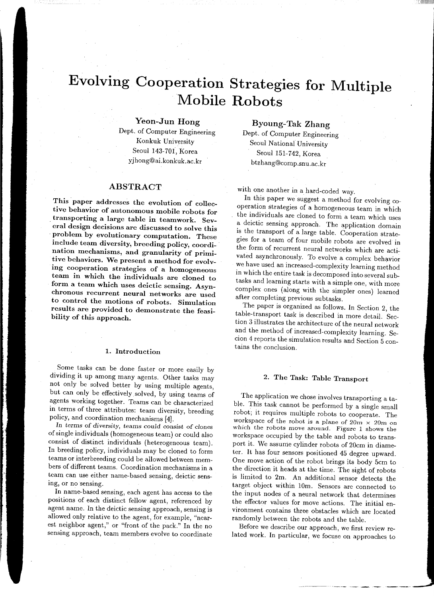# **Evolving Cooperation Strategies for Multiple Mobile Robots**

# Yeon-Jun Hong

Dept. of Computer Engineering Konkuk University Seoul 143-701, Korea yjhong@ai.konkuk.ac.kr

# ABSTRACT

This paper addresses the evolution of collective behavior of autonomous mobile robots for . transporting a large table in teamwork. Several design decisions are discussed to solve this problem by evolutionary computation. These include team diversity, breeding policy, coordination mechanisms, and granularity of primitive behaviors. We present a method for evolving cooperation strategies of a homogeneous team in which the individuals are cloned to form a team which uses deictic sensing. Asynchronous recurrent neural networks are used to control the motions of robots. Simulation results are provided to demonstrate the feasibility of this approach.

### 1. Introduction

Some tasks can be done faster or more easily by dividing it up among many agents. Other tasks may not only be solved better by using multiple agents, but can only be effectively solved, by using teams of agents working together. Teams can be characterized in terms of three attributes: team diversity, breeding policy, and coordination mechanisms [4].

*In* terms of diversity, teams *could* consist of clones of single individuals (homogeneous team) or could also consist of distinct individuals (heterogeneous team). In breeding policy, individuals may be cloned to form teams or interbreeding could be allowed between members of different teams. Coordination mechanisms in a team can use either name-based sensing, deictic sensing, or no sensing.

In name-based sensing, each agent has access to the positions of each distinct fellow agent, referenced by agent name. In the deictic sensing approach, sensing is allowed only relative to the agent, for example, "nearest neighbor agent," or "front of the pack." In the no sensing approach, team members evolve to coordinate Byoung-Tak Zhang

Dept. of Computer Engineering Seoul National University Seoul 151-742, Korea btzhang@comp.snu.ac.kr

with one another in a hard-coded way.

In this paper we suggest a method for evolving cooperation strategies of a homogeneous team in which the individuals are cloned to form a team which uses a deictic sensing approach. The application domain is the transport of a large table. Cooperation strategies for a team of four mobile robots are evolved in the form of recurrent neural networks which are activated asynchronously. To evolve a complex behavior we have used an increased-complexity learning method in which the entire task is decomposed into several subtasks and learning starts with a simple one, with more complex ones (along with the simpler ones) learned after completing previous subtasks.

·: 'l!!l!lil!ll!l:ll!lil!l

The paper is organized as follows. In Section 2, the table-transport task is described in more detail. Section 3 illustrates the architecture of the neural network and the method of increased-complexity learning. Secion 4 reports the simulation results and Section 5 contains the conclusion.

# 2. The Task: Table Transport

The application we chose involves transporting a table. This task cannot be performed by a single small robot; it requires multiple robots to cooperate. The workspace of the robot is a plane of  $20m \times 20m$  on which the robots move around. Figure 1 shows the workspace occupied by the table and robots to transport it. We assume cylinder robots of 20cm in diameter. It has four sensors positioned 45 degree upward. One move action of the robot brings its body 5cm to the direction it heads at the time. The sight of robots is limited to 2m. An additional sensor detects the target object within 10m. Sensors are connected to the input nodes of a neural network that determines the effector values for move actions. The initial environment contains three obstacles which are located randomly between the robots and the table.

Before we describe our approach, we first review related work. In particular, we focuse on approaches to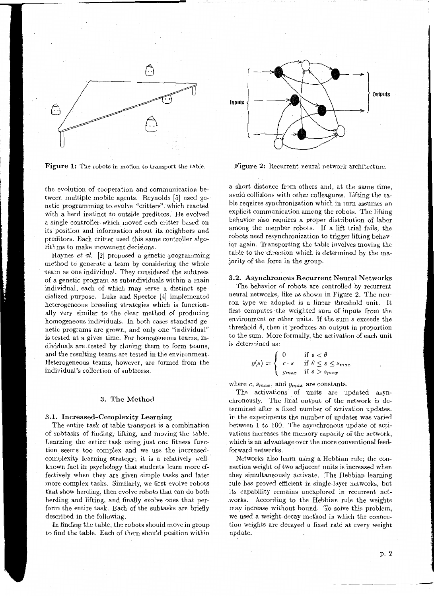

Figure 1: The robots in motion to transport the table.

the evolution of cooperation and communication between multiple mobile agents. Reynolds [5] used genetic programming to evolve "critters" which reacted with a herd instinct to outside preditors. He evolved a single controller which moved each critter based on its position and information about its neighbors and preditors. Each critter used this same controller algorithms to make movement decisions.

Haynes *et al.* [2] proposed a genetic programming method to generate a team by considering the whole team as one individual. They considered the subtrees of a genetic program as subindividuals within a main individual, each of which may serve a distinct specialized purpose. Luke and Spector [4] implemented heterogeneous breeding strategies which is functionally very similar to the clear method of producing homogeneous individuals. In both cases standard genetic programs are grown, and only one "individual" is tested at a given time. For homogeneous teams, individuals are tested by cloning them to form teams, and the resulting teams are tested in the environment. Heterogeneous teams, however, are formed from the individual's collection of subtreess.

#### 3. The Method

## 3.1. Increased-Complexity Learning

The entire task of table transport is a combination of subtasks of finding, lifting, and moving the table. Learning the entire task using just one fitness function seems too complex and we use the increasedcomplexity learning strategy; it is a relatively wellknown fact in psychology that students learn more effectively when they are given simple tasks and later more complex tasks. Similarly, we first evolve robots that show herding, then evolve robots that can do both herding and lifting, and finally evolve ones that perform the entire task. Each of the subtasks are briefly described in the following.

In finding the table, the robots should move in group to find the table. Each of them should position within



·:,I'!I!IIHIIII!IIIIIIIIII

Figure 2: Recurrent neural network architecture.

a short distance from others and, at the same time, avoid collisions with other colleagures. Lifting the table requires synchronization which in turn assumes an explicit communication among the robots. The lifting behavior also requires a proper distribution of labor among the member robots. If a lift trial fails, the robots need resynchronization to trigger lifting behavior again. Transporting the table involves moving the table to the direction which is determined by the majority of the force in the group.

#### 3.2. Asynchronous Recurrent Neural Networks

The behavior of robots are controlled by recurrent neural networks, like as shown in Figure 2. The neuron type we adopted is a linear threshold unit. It first computes the weighted sum of inputs from the environment or other units. If the sum *s* exceeds the threshold  $\theta$ , then it produces an output in proportion to the sum. More formally, the activation of each unit is determined as:

$$
y(s) = \begin{cases} 0 & \text{if } s < \theta \\ c \cdot s & \text{if } \theta \le s \le s_{max} \\ y_{max} & \text{if } s > s_{max} \end{cases}
$$

where  $c$ ,  $s_{max}$ , and  $y_{max}$  are constants.

The activations of units are updated asynchronously. The final output of the network is determined after a fixed number of activation updates. In the experiments the number of updates was varied between 1 to 100. The asynchronous update of activations increases the memory capacity of the network, which is an advantage over the more conventional feedforward networks.

Networks also learn using a Hebbian rule; the connection weight of two adjacent units is increased when they simultaneously activate. The Hebbian learning rule has proved efficient in single-layer networks, but its capability remains unexplored in recurrent net- .works. According to the Hebbian rule the weights may increase without bound. To solve this problem, we used a weight-decay method in which the connection weights are decayed a fixed rate at every weight update.

p. 2

-------- ---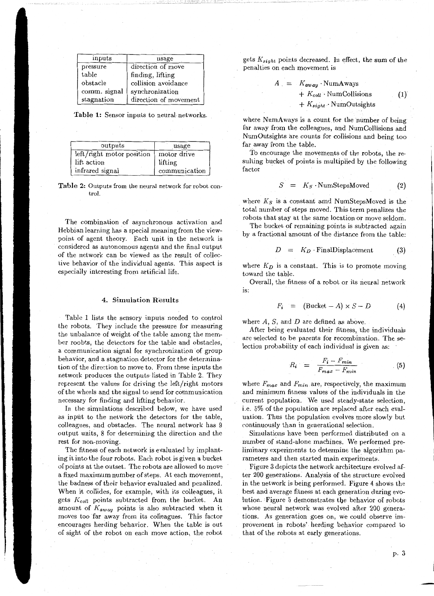| inputs       | usage                 |
|--------------|-----------------------|
| pressure     | direction of move     |
| table        | finding, lifting      |
| obstacle     | collision avoidance   |
| comm. signal | synchronization       |
| stagnation   | direction of movement |

Table 1: Sensor inputs to neural networks.

| outputs                   | usage         |
|---------------------------|---------------|
| left/right motor position | motor drive   |
| lift action               | lifting       |
| infrared signal           | communication |

Table 2: Outputs from the neural network for robot control.

The combination of asynchronous activation and Hebbian learning has a special meaning from the viewpoint of agent theory. Each unit in the network is considered as autonomous agents and the final output of the network can be viewed as the result of collective behavior of the individual agents. This aspect is especially interesting from artificial life.

#### 4. Simulation Results

Table 1 lists the sensory inputs needed to control the robots. They include the pressure for measuring the unbalance of weight of the table among the member roobts, the detectors for the table and obstacles, a communication signal for synchronization of group behavior, and a stagnation detector for the determination of the direction to move to. From these inputs the network produces the outputs listed in Table 2. They represent the values for driving the left/right motors of the wheels and the signal to send for communication necessary for finding and lifting behavior.

In the simulations described below, we have used as input to the network the detectors for the table, colleagues, and obstacles. The neural network has 9 output units, 8 for determining the direction and the rest for non-moving.

The fitness of each network is evaluated by implanting it into the four robots. Each robot is given a bucket of points at the outset. The robots are allowed to move a fixed maximum number of steps. At each movement, the badness of their behavior evaluated and penalized. When it collides, for example, with its colleagues, it gets *Kcoll* points subtracted from the bucket. An amount of  $K_{away}$  points is also subtracted when it moves too far away from its colleagues. This factor encourages herding behavior. When the table is out of sight of the robot on each move action, the robot

gets *Ksight* points decreased. In effect, the sum of the penalties on each movement is

$$
A = K_{away} \cdot NumAways
$$
  
+  $K_{coll} \cdot NumCollisions$  (1)  
+  $K_{sight} \cdot NumOutsights$ 

where NumAways is a count for the number of being far away from the colleagues, and NumCollisions and NumOutsights are counts for collisions and being too far away from the table.

To encourage the movements of the robots, the resulting bucket of points is multiplied by the following factor

$$
S = K_S \cdot \text{NumStepsMoved} \tag{2}
$$

where *Ks* is a constant amd NumStepsMoved is the total number of steps moved. This term penalizes the robots that stay at the same location or move seldom.

The bucket of remaining points is subtracted again by a fractional amount of the distance from the table:

$$
D = K_D \cdot \text{FinalDisplacement} \tag{3}
$$

where  $K_D$  is a constant. This is to promote moving toward the table.

Overall, the fitness of a robot or its neural network 1s:

$$
F_i = (\text{Bucket} - A) \times S - D \tag{4}
$$

where *A, S,* and *D* are defined as above.

After being evaluated their fitness, the individuals are selected to be parents for recombination. The selection probability of each individual is given as:

$$
R_i = \frac{F_i - F_{min}}{F_{max} - F_{min}} \tag{5}
$$

where *Fmax* and *Fmin* are, respectively, the maximum and minimum fitness values of the individuals in the current population. We used steady-state selection, i.e. 5% of the population are replaced after each evaluation. Thus the population evolves more slowly but continuously than in generational selection.

Simulations have been performed distributed on a number of stand-alone machines. We performed preliminary experiments to determine the algorithm parameters and then started main experiments.

Figure 3 depicts the network architecture evolved after 200 generations. Analysis of the structure evolved in the network is being performed. Figure 4 shows the best and average fitness at each generation during evolution. Figure 5 demonstrates the behavior of robots whose neural network was evolved after 200 generations. As generation goes on, we could observe improvement in robots' herding behavior compared to that of the robots at early generations.

p. 3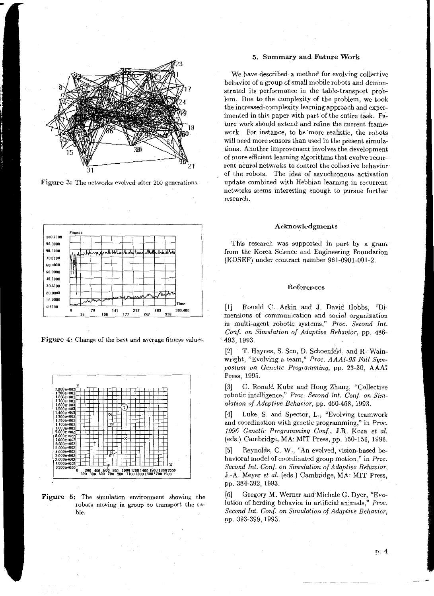

Figure 3: The networks evolved after 200 generations.



Figure 4: Change of the best and average fitness values.



Figure 5: The simulation environment showing the robots moving. in group to transport the table.

## 5. Summary and Future Work

We have described a method for evolving collective behavior of a group of small mobile robots and demonstrated its performance in the table-transport problem. Due to the complexity of the problem, we took the increased-complexity learning·approach and experimented in this paper with part of the entire task. Future work should extend and refine the current framework. For instance, to be more realistic, the robots will need more sensors than used in the present simulations. Another improvement involves the development of more efficient learning algorithms that evolve-recurrent neural networks to control the collective behavior of the robots. The idea of asynchronous activation update combined with Hebbian learning in recurrent networks seems interesting enough to pursue further research.

### Acknowledgments

This research was supported in part by a grant· from the Korea Science and Engineering Foundation (KOSEF) under contract number 961-0901-001-2.

#### References

[1] Ronald C. Arkin and J. David Hobbs, "Dimensions of communication and social organization in multi-agent robotic systems," *Proc. Second Int. Conf on Simulation of Adaptive Behavior,* pp. 486- . 493, 1993.

[2] T. Haynes, S. Sen, D. Schoenfeld, and R. Wainwright, "Evolving a team," *Proc. AAAI-95 Fall Symposium on Genetic Programming,* pp. 23-30, AAAI Press, 1995.

[3] C. Ronald Kube and Hong Zhang, "Collective robotic intelligence," Proc. Second Int. Conf. on Sim*ulation of Adaptive Behavior,* pp. 460-468, 1993.

[4] Luke, S. and Spector, L., "Evolving teamwork and coordination with genetic programming," in *Proc. 1996 Genetic Programming Conf,* J.R. Koza *et al.*  (eds.) Cambridge, MA: MIT Press, pp. 150-156, 1996.

[5] Reynolds, C. W., "An evolved, vision-based behavioral model of coordinated group motion," in *Proc. Second Int. Conf. on Simulation of Adaptive Behavior,* J.-A. Meyer *et al.* (eds.) Cambridge, MA: MIT Press, pp. 384-392, 1993.

[6] Gregory M. Werner and Michale G. Dyer, "Evolution of herding behavior in artificial animals," *Proc. Second Int. Conf. on Simulation of Adaptive Behavior,*  pp. 393-399, 1993.